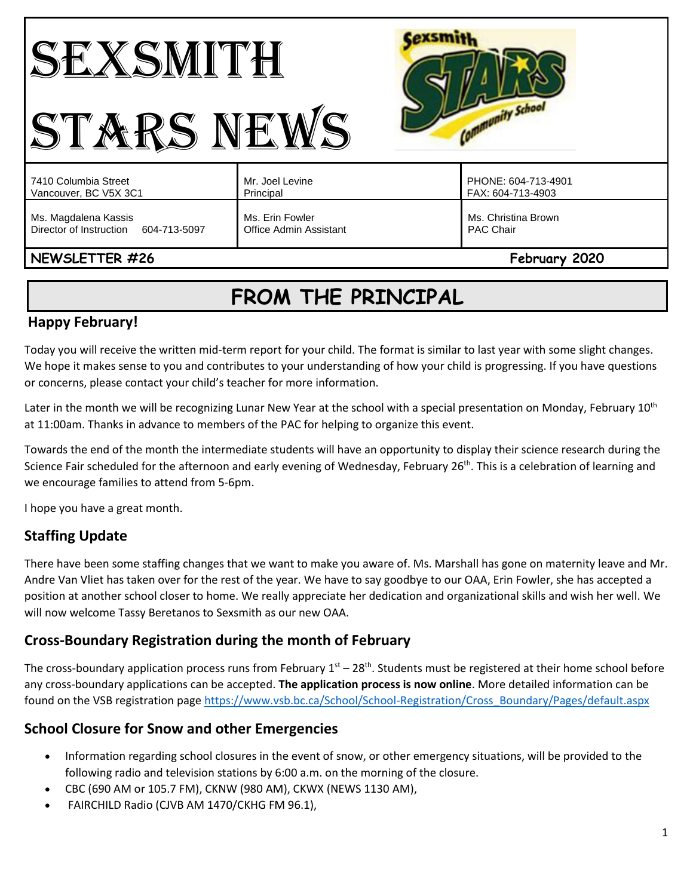#### **Cexsmith** SEXSMITH Community School STARS NEWS Mr. Joel Levine PHONE: 604-713-4901 7410 Columbia Street Vancouver, BC V5X 3C1 Principal FAX: 604-713-4903 Ms. Magdalena Kassis Ms. Erin Fowler Ms. Christina Brown Director of Instruction 604-713-5097 Office Admin Assistant PAC Chair

# **NEWSLETTER #26** February **2020**

# **FROM THE PRINCIPAL**

# **Happy February!**

Today you will receive the written mid-term report for your child. The format is similar to last year with some slight changes. We hope it makes sense to you and contributes to your understanding of how your child is progressing. If you have questions or concerns, please contact your child's teacher for more information.

Later in the month we will be recognizing Lunar New Year at the school with a special presentation on Monday, February 10<sup>th</sup> at 11:00am. Thanks in advance to members of the PAC for helping to organize this event.

Towards the end of the month the intermediate students will have an opportunity to display their science research during the Science Fair scheduled for the afternoon and early evening of Wednesday, February 26<sup>th</sup>. This is a celebration of learning and we encourage families to attend from 5-6pm.

I hope you have a great month.

# **Staffing Update**

There have been some staffing changes that we want to make you aware of. Ms. Marshall has gone on maternity leave and Mr. Andre Van Vliet has taken over for the rest of the year. We have to say goodbye to our OAA, Erin Fowler, she has accepted a position at another school closer to home. We really appreciate her dedication and organizational skills and wish her well. We will now welcome Tassy Beretanos to Sexsmith as our new OAA.

## **Cross-Boundary Registration during the month of February**

The cross-boundary application process runs from February  $1<sup>st</sup> - 28<sup>th</sup>$ . Students must be registered at their home school before any cross-boundary applications can be accepted. **The application process is now online**. More detailed information can be found on the VSB registration pag[e https://www.vsb.bc.ca/School/School-Registration/Cross\\_Boundary/Pages/default.aspx](https://www.vsb.bc.ca/School/School-Registration/Cross_Boundary/Pages/default.aspx)

## **School Closure for Snow and other Emergencies**

- Information regarding school closures in the event of snow, or other emergency situations, will be provided to the following radio and television stations by 6:00 a.m. on the morning of the closure.
- CBC (690 AM or 105.7 FM), CKNW (980 AM), CKWX (NEWS 1130 AM),
- FAIRCHILD Radio (CJVB AM 1470/CKHG FM 96.1),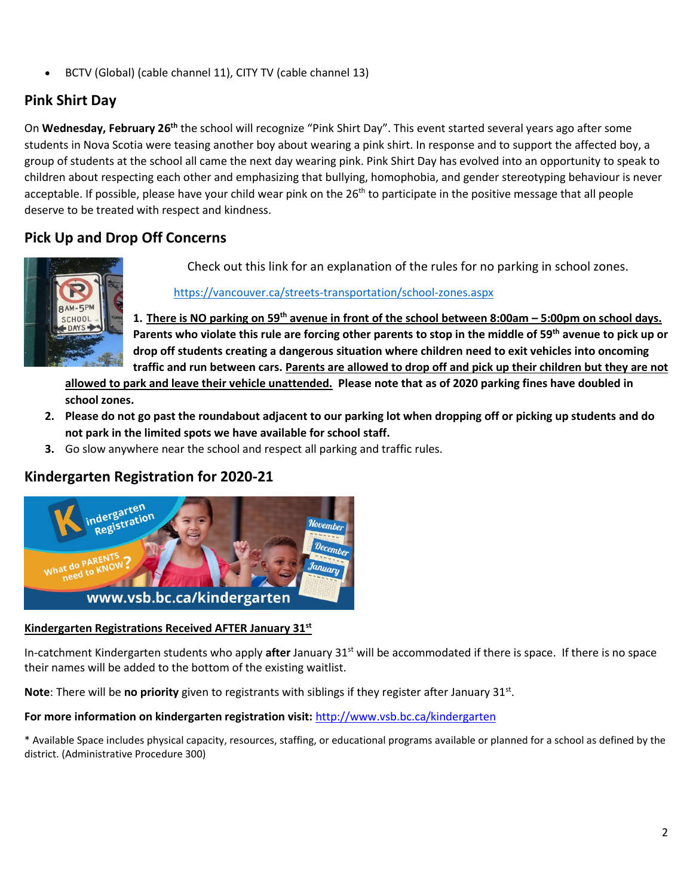• BCTV (Global) (cable channel 11), CITY TV (cable channel 13)

# **Pink Shirt Day**

On Wednesday, February 26<sup>th</sup> the school will recognize "Pink Shirt Day". This event started several years ago after some students in Nova Scotia were teasing another boy about wearing a pink shirt. In response and to support the affected boy, a group of students at the school all came the next day wearing pink. Pink Shirt Day has evolved into an opportunity to speak to children about respecting each other and emphasizing that bullying, homophobia, and gender stereotyping behaviour is never acceptable. If possible, please have your child wear pink on the 26<sup>th</sup> to participate in the positive message that all people deserve to be treated with respect and kindness.

# **Pick Up and Drop Off Concerns**



Check out this link for an explanation of the rules for no parking in school zones.

<https://vancouver.ca/streets-transportation/school-zones.aspx>

**1. There is NO parking on 59th avenue in front of the school between 8:00am – 5:00pm on school days. Parents who violate this rule are forcing other parents to stop in the middle of 59th avenue to pick up or drop off students creating a dangerous situation where children need to exit vehicles into oncoming traffic and run between cars. Parents are allowed to drop off and pick up their children but they are not** 

**allowed to park and leave their vehicle unattended. Please note that as of 2020 parking fines have doubled in school zones.** 

- **2. Please do not go past the roundabout adjacent to our parking lot when dropping off or picking up students and do not park in the limited spots we have available for school staff.**
- **3.** Go slow anywhere near the school and respect all parking and traffic rules.

## **Kindergarten Registration for 2020-21**



#### **Kindergarten Registrations Received AFTER January 31st**

In-catchment Kindergarten students who apply **after** January 31st will be accommodated if there is space. If there is no space their names will be added to the bottom of the existing waitlist.

Note: There will be no priority given to registrants with siblings if they register after January 31st.

**For more information on kindergarten registration visit:** <http://www.vsb.bc.ca/kindergarten>

\* Available Space includes physical capacity, resources, staffing, or educational programs available or planned for a school as defined by the district. (Administrative Procedure 300)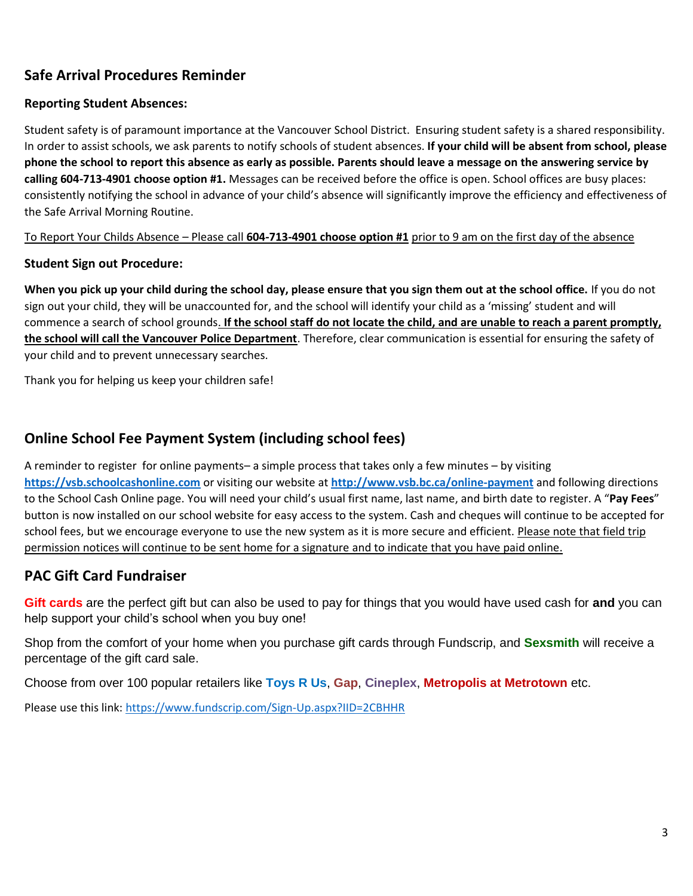# **Safe Arrival Procedures Reminder**

#### **Reporting Student Absences:**

Student safety is of paramount importance at the Vancouver School District. Ensuring student safety is a shared responsibility. In order to assist schools, we ask parents to notify schools of student absences. **If your child will be absent from school, please phone the school to report this absence as early as possible. Parents should leave a message on the answering service by calling 604-713-4901 choose option #1.** Messages can be received before the office is open. School offices are busy places: consistently notifying the school in advance of your child's absence will significantly improve the efficiency and effectiveness of the Safe Arrival Morning Routine.

To Report Your Childs Absence – Please call **604-713-4901 choose option #1** prior to 9 am on the first day of the absence

#### **Student Sign out Procedure:**

**When you pick up your child during the school day, please ensure that you sign them out at the school office.** If you do not sign out your child, they will be unaccounted for, and the school will identify your child as a 'missing' student and will commence a search of school grounds. **If the school staff do not locate the child, and are unable to reach a parent promptly, the school will call the Vancouver Police Department**. Therefore, clear communication is essential for ensuring the safety of your child and to prevent unnecessary searches.

Thank you for helping us keep your children safe!

#### **Online School Fee Payment System (including school fees)**

A reminder to register for online payments– a simple process that takes only a few minutes – by visiting **[https://vsb.schoolcashonline.com](https://vsb.schoolcashonline.com/)** or visiting our website at **<http://www.vsb.bc.ca/online-payment>** and following directions to the School Cash Online page. You will need your child's usual first name, last name, and birth date to register. A "**Pay Fees**" button is now installed on our school website for easy access to the system. Cash and cheques will continue to be accepted for school fees, but we encourage everyone to use the new system as it is more secure and efficient. Please note that field trip permission notices will continue to be sent home for a signature and to indicate that you have paid online.

#### **PAC Gift Card Fundraiser**

**Gift cards** are the perfect gift but can also be used to pay for things that you would have used cash for **and** you can help support your child's school when you buy one!

Shop from the comfort of your home when you purchase gift cards through Fundscrip, and **Sexsmith** will receive a percentage of the gift card sale.

Choose from over 100 popular retailers like **Toys R Us**, **Gap**, **Cineplex**, **Metropolis at Metrotown** etc.

Please use this link:<https://www.fundscrip.com/Sign-Up.aspx?IID=2CBHHR>